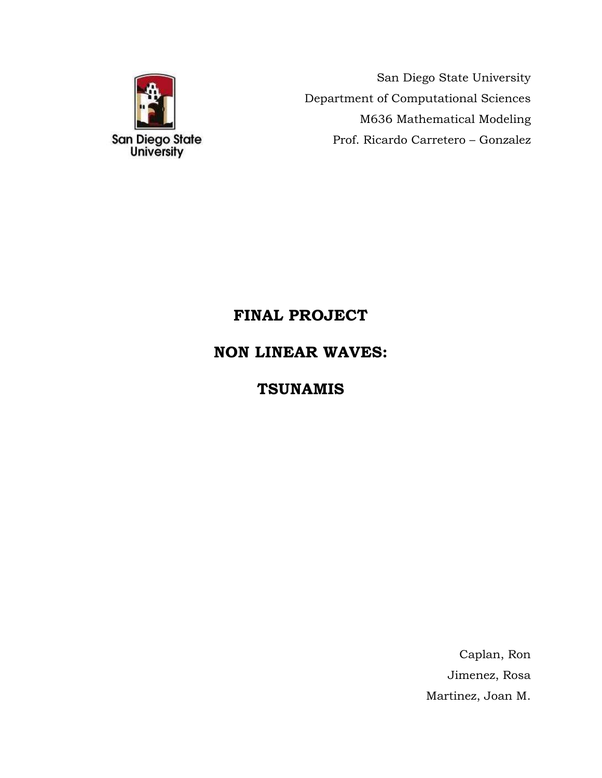

San Diego State University Department of Computational Sciences M636 Mathematical Modeling Prof. Ricardo Carretero – Gonzalez

# **FINAL PROJECT**

# **NON LINEAR WAVES:**

# **TSUNAMIS**

Caplan, Ron Jimenez, Rosa Martinez, Joan M.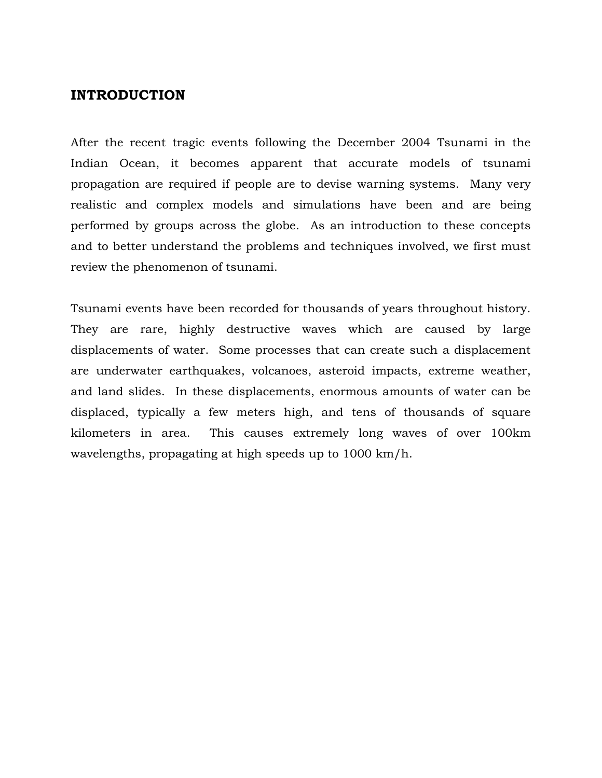#### **INTRODUCTION**

After the recent tragic events following the December 2004 Tsunami in the Indian Ocean, it becomes apparent that accurate models of tsunami propagation are required if people are to devise warning systems. Many very realistic and complex models and simulations have been and are being performed by groups across the globe. As an introduction to these concepts and to better understand the problems and techniques involved, we first must review the phenomenon of tsunami.

Tsunami events have been recorded for thousands of years throughout history. They are rare, highly destructive waves which are caused by large displacements of water. Some processes that can create such a displacement are underwater earthquakes, volcanoes, asteroid impacts, extreme weather, and land slides. In these displacements, enormous amounts of water can be displaced, typically a few meters high, and tens of thousands of square kilometers in area. This causes extremely long waves of over 100km wavelengths, propagating at high speeds up to 1000 km/h.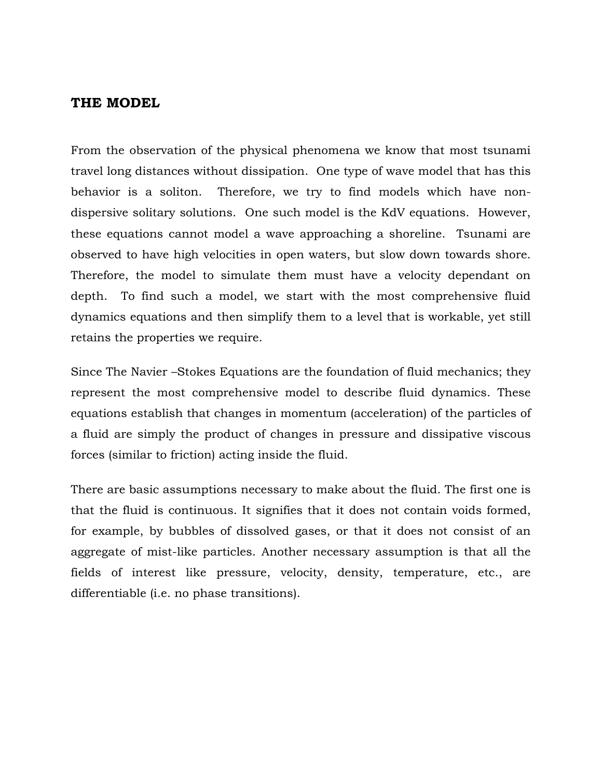#### **THE MODEL**

From the observation of the physical phenomena we know that most tsunami travel long distances without dissipation. One type of wave model that has this behavior is a soliton. Therefore, we try to find models which have nondispersive solitary solutions. One such model is the KdV equations. However, these equations cannot model a wave approaching a shoreline. Tsunami are observed to have high velocities in open waters, but slow down towards shore. Therefore, the model to simulate them must have a velocity dependant on depth. To find such a model, we start with the most comprehensive fluid dynamics equations and then simplify them to a level that is workable, yet still retains the properties we require.

Since The Navier –Stokes Equations are the foundation of fluid mechanics; they represent the most comprehensive model to describe fluid dynamics. These equations establish that changes in momentum (acceleration) of the particles of a fluid are simply the product of changes in pressure and dissipative viscous forces (similar to friction) acting inside the fluid.

There are basic assumptions necessary to make about the fluid. The first one is that the fluid is continuous. It signifies that it does not contain voids formed, for example, by bubbles of dissolved gases, or that it does not consist of an aggregate of mist-like particles. Another necessary assumption is that all the fields of interest like pressure, velocity, density, temperature, etc., are differentiable (i.e. no phase transitions).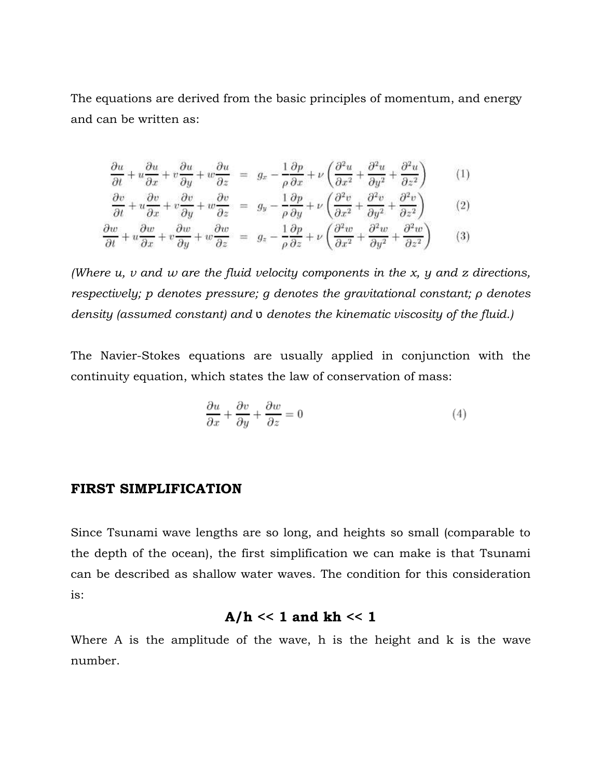The equations are derived from the basic principles of [momentum,](http://en.wikipedia.org/wiki/Momentum) and [energy](http://en.wikipedia.org/wiki/Energy) and can be written as:

$$
\frac{\partial u}{\partial t} + u \frac{\partial u}{\partial x} + v \frac{\partial u}{\partial y} + w \frac{\partial u}{\partial z} = g_x - \frac{1}{\rho} \frac{\partial p}{\partial x} + \nu \left( \frac{\partial^2 u}{\partial x^2} + \frac{\partial^2 u}{\partial y^2} + \frac{\partial^2 u}{\partial z^2} \right) \tag{1}
$$
\n
$$
\frac{\partial v}{\partial t} + u \frac{\partial v}{\partial x} + v \frac{\partial v}{\partial y} + w \frac{\partial v}{\partial z} = g_y - \frac{1}{\rho} \frac{\partial p}{\partial y} + \nu \left( \frac{\partial^2 v}{\partial x^2} + \frac{\partial^2 v}{\partial y^2} + \frac{\partial^2 v}{\partial z^2} \right) \tag{2}
$$
\n
$$
\frac{\partial w}{\partial t} + u \frac{\partial w}{\partial x} + v \frac{\partial w}{\partial y} + w \frac{\partial w}{\partial z} = g_x - \frac{1}{\rho} \frac{\partial p}{\partial z} + \nu \left( \frac{\partial^2 w}{\partial x^2} + \frac{\partial^2 w}{\partial y^2} + \frac{\partial^2 w}{\partial z^2} \right) \tag{3}
$$

*(Where u, v and w are the fluid velocity components in the x, y and z directions, respectively; p denotes pressure; g denotes the gravitational constant; ρ denotes density (assumed constant) and* ט *denotes the kinematic viscosity of the fluid.)*

The Navier-Stokes equations are usually applied in conjunction with the continuity equation, which states the law of conservation of mass:

$$
\frac{\partial u}{\partial x} + \frac{\partial v}{\partial y} + \frac{\partial w}{\partial z} = 0\tag{4}
$$

#### **FIRST SIMPLIFICATION**

Since Tsunami wave lengths are so long, and heights so small (comparable to the depth of the ocean), the first simplification we can make is that Tsunami can be described as shallow water waves. The condition for this consideration is:

#### A/ $h \ll 1$  and  $kh \ll 1$

Where A is the amplitude of the wave, h is the height and k is the wave number.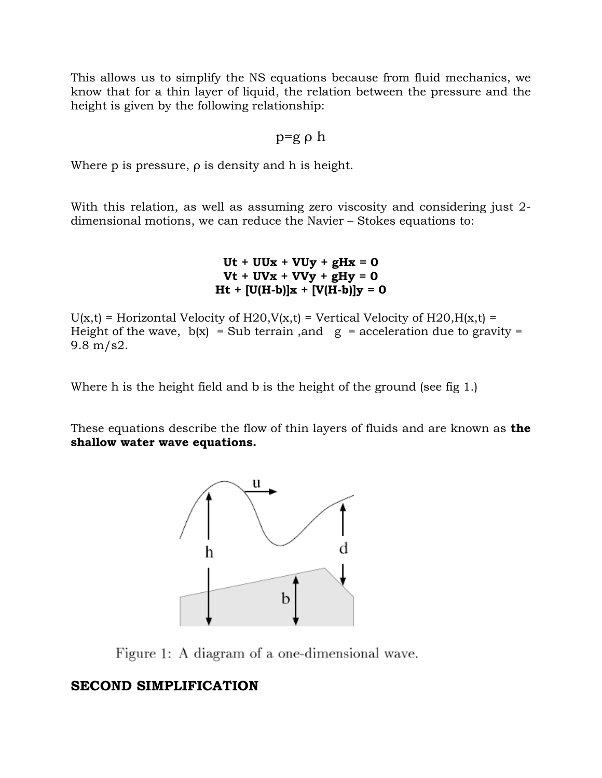This allows us to simplify the NS equations because from fluid mechanics, we know that for a thin layer of liquid, the relation between the pressure and the height is given by the following relationship:

### p=g ρ h

Where p is pressure, ρ is density and h is height.

With this relation, as well as assuming zero viscosity and considering just 2 dimensional motions, we can reduce the Navier – Stokes equations to:

> $Ut + UUx + VUy + gHx = 0$  $Vt + UVx + VVy + gHy = 0$  $Ht + [U(H-b)]x + [V(H-b)]y = 0$

 $U(x,t)$  = Horizontal Velocity of H20,  $V(x,t)$  = Vertical Velocity of H20,  $H(x,t)$  = Height of the wave,  $b(x)$  = Sub terrain, and  $g =$  acceleration due to gravity = 9.8 m/s2.

Where h is the height field and b is the height of the ground (see fig 1.)

These equations describe the flow of thin layers of fluids and are known as **the shallow water wave equations.**



Figure 1: A diagram of a one-dimensional wave.

### **SECOND SIMPLIFICATION**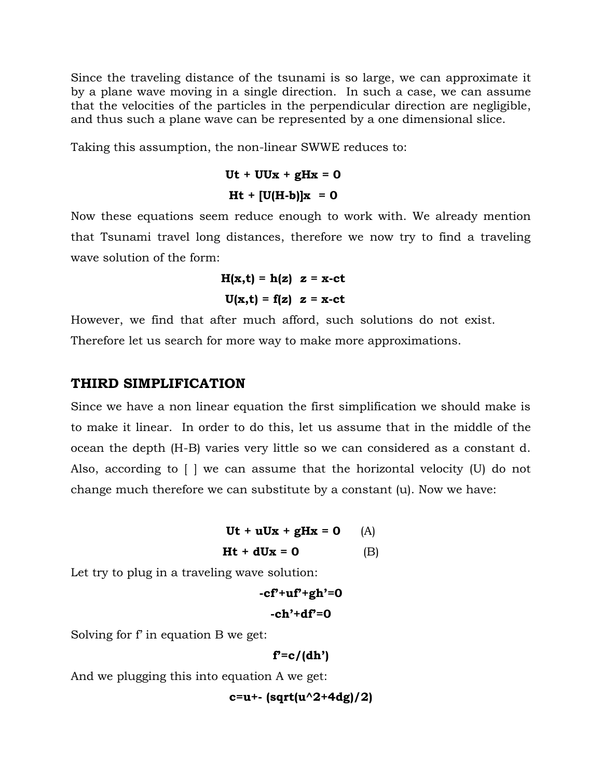Since the traveling distance of the tsunami is so large, we can approximate it by a plane wave moving in a single direction. In such a case, we can assume that the velocities of the particles in the perpendicular direction are negligible, and thus such a plane wave can be represented by a one dimensional slice.

Taking this assumption, the non-linear SWWE reduces to:

$$
Ut + UUx + gHx = 0
$$
  

$$
Ht + [U(H-b)]x = 0
$$

Now these equations seem reduce enough to work with. We already mention that Tsunami travel long distances, therefore we now try to find a traveling wave solution of the form:

$$
H(x,t) = h(z) z = x-ct
$$
  

$$
U(x,t) = f(z) z = x-ct
$$

However, we find that after much afford, such solutions do not exist. Therefore let us search for more way to make more approximations.

#### **THIRD SIMPLIFICATION**

Since we have a non linear equation the first simplification we should make is to make it linear. In order to do this, let us assume that in the middle of the ocean the depth (H-B) varies very little so we can considered as a constant d. Also, according to [ ] we can assume that the horizontal velocity (U) do not change much therefore we can substitute by a constant (u). Now we have:

```
Ut + uUx + gHx = 0 (A)
Ht + dUx = 0 (B)
```
Let try to plug in a traveling wave solution:

```
-cf'+uf'+gh'=0
 -ch'+df'=0
```
Solving for f' in equation B we get:

**f'=c/(dh')**

And we plugging this into equation A we get:

**c=u+- (sqrt(u^2+4dg)/2)**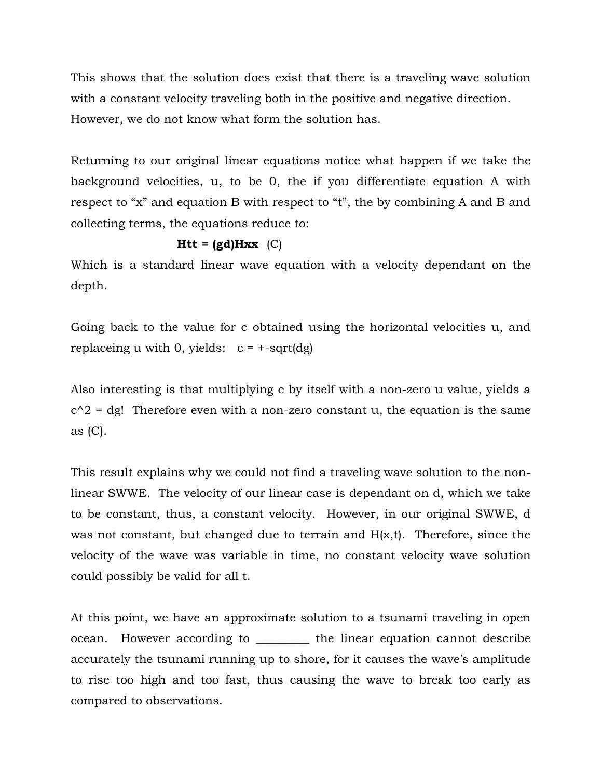This shows that the solution does exist that there is a traveling wave solution with a constant velocity traveling both in the positive and negative direction. However, we do not know what form the solution has.

Returning to our original linear equations notice what happen if we take the background velocities, u, to be 0, the if you differentiate equation A with respect to "x" and equation B with respect to "t", the by combining A and B and collecting terms, the equations reduce to:

## $Htt = (gd)Hxx$  (C)

Which is a standard linear wave equation with a velocity dependant on the depth.

Going back to the value for c obtained using the horizontal velocities u, and replaceing u with 0, yields:  $c = +sqrt(dg)$ 

Also interesting is that multiplying c by itself with a non-zero u value, yields a  $c^2$  = dg! Therefore even with a non-zero constant u, the equation is the same as (C).

This result explains why we could not find a traveling wave solution to the nonlinear SWWE. The velocity of our linear case is dependant on d, which we take to be constant, thus, a constant velocity. However, in our original SWWE, d was not constant, but changed due to terrain and H(x,t). Therefore, since the velocity of the wave was variable in time, no constant velocity wave solution could possibly be valid for all t.

At this point, we have an approximate solution to a tsunami traveling in open ocean. However according to \_\_\_\_\_\_\_\_\_ the linear equation cannot describe accurately the tsunami running up to shore, for it causes the wave's amplitude to rise too high and too fast, thus causing the wave to break too early as compared to observations.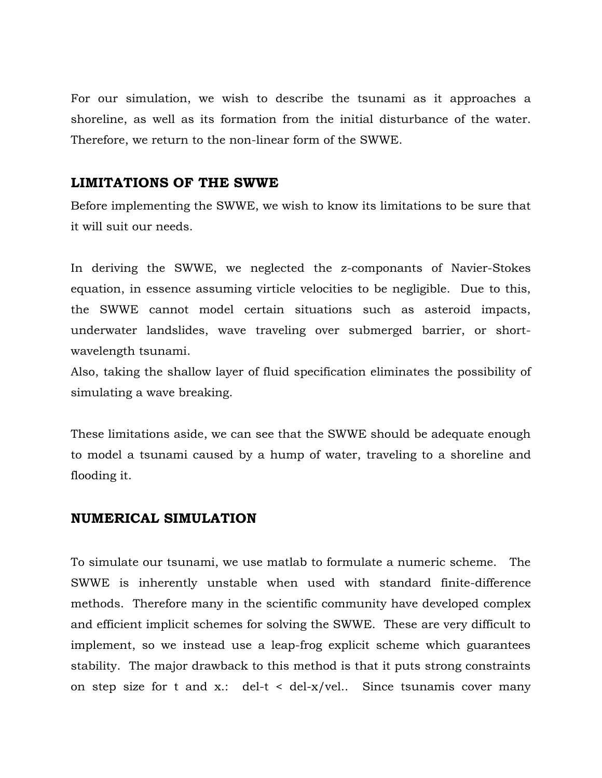For our simulation, we wish to describe the tsunami as it approaches a shoreline, as well as its formation from the initial disturbance of the water. Therefore, we return to the non-linear form of the SWWE.

### **LIMITATIONS OF THE SWWE**

Before implementing the SWWE, we wish to know its limitations to be sure that it will suit our needs.

In deriving the SWWE, we neglected the z-componants of Navier-Stokes equation, in essence assuming virticle velocities to be negligible. Due to this, the SWWE cannot model certain situations such as asteroid impacts, underwater landslides, wave traveling over submerged barrier, or shortwavelength tsunami.

Also, taking the shallow layer of fluid specification eliminates the possibility of simulating a wave breaking.

These limitations aside, we can see that the SWWE should be adequate enough to model a tsunami caused by a hump of water, traveling to a shoreline and flooding it.

#### **NUMERICAL SIMULATION**

To simulate our tsunami, we use matlab to formulate a numeric scheme. The SWWE is inherently unstable when used with standard finite-difference methods. Therefore many in the scientific community have developed complex and efficient implicit schemes for solving the SWWE. These are very difficult to implement, so we instead use a leap-frog explicit scheme which guarantees stability. The major drawback to this method is that it puts strong constraints on step size for t and x.: del-t < del-x/vel.. Since tsunamis cover many